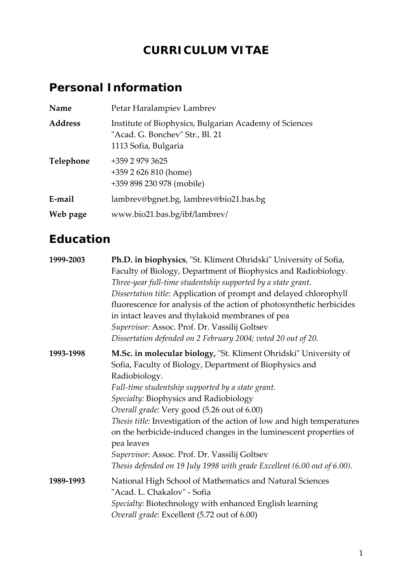# **CURRICULUM VITAE**

# **Personal Information**

| Name           | Petar Haralampiev Lambrev                                                                                         |  |
|----------------|-------------------------------------------------------------------------------------------------------------------|--|
| <b>Address</b> | Institute of Biophysics, Bulgarian Academy of Sciences<br>"Acad. G. Bonchev" Str., Bl. 21<br>1113 Sofia, Bulgaria |  |
| Telephone      | +359 2 979 3625<br>$+3592626810$ (home)<br>+359 898 230 978 (mobile)                                              |  |
| E-mail         | lambrev@bgnet.bg, lambrev@bio21.bas.bg                                                                            |  |
| Web page       | www.bio21.bas.bg/ibf/lambrev/                                                                                     |  |

# **Education**

| 1999-2003 | <b>Ph.D. in biophysics</b> , "St. Kliment Ohridski" University of Sofia,<br>Faculty of Biology, Department of Biophysics and Radiobiology.<br>Three-year full-time studentship supported by a state grant.<br>Dissertation title: Application of prompt and delayed chlorophyll<br>fluorescence for analysis of the action of photosynthetic herbicides<br>in intact leaves and thylakoid membranes of pea<br>Supervisor: Assoc. Prof. Dr. Vassilij Goltsev<br>Dissertation defended on 2 February 2004; voted 20 out of 20.                                                         |
|-----------|--------------------------------------------------------------------------------------------------------------------------------------------------------------------------------------------------------------------------------------------------------------------------------------------------------------------------------------------------------------------------------------------------------------------------------------------------------------------------------------------------------------------------------------------------------------------------------------|
| 1993-1998 | M.Sc. in molecular biology, "St. Kliment Ohridski" University of<br>Sofia, Faculty of Biology, Department of Biophysics and<br>Radiobiology.<br>Full-time studentship supported by a state grant.<br>Specialty: Biophysics and Radiobiology<br>Overall grade: Very good (5.26 out of 6.00)<br>Thesis title: Investigation of the action of low and high temperatures<br>on the herbicide-induced changes in the luminescent properties of<br>pea leaves<br>Supervisor: Assoc. Prof. Dr. Vassilij Goltsev<br>Thesis defended on 19 July 1998 with grade Excellent (6.00 out of 6.00). |
| 1989-1993 | National High School of Mathematics and Natural Sciences<br>"Acad. L. Chakalov" - Sofia<br>Specialty: Biotechnology with enhanced English learning<br>Overall grade: Excellent (5.72 out of 6.00)                                                                                                                                                                                                                                                                                                                                                                                    |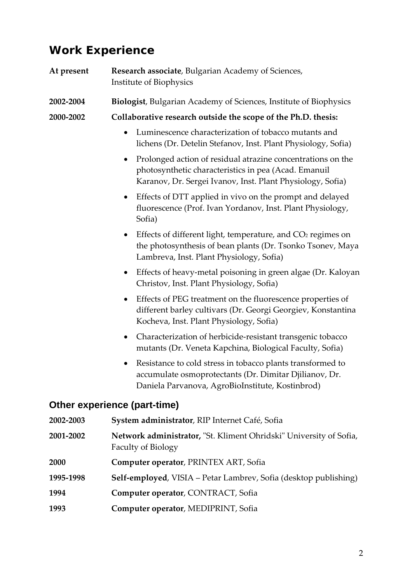## **Work Experience**

| At present | Research associate, Bulgarian Academy of Sciences,<br>Institute of Biophysics                                                                                                                  |  |
|------------|------------------------------------------------------------------------------------------------------------------------------------------------------------------------------------------------|--|
| 2002-2004  | <b>Biologist, Bulgarian Academy of Sciences, Institute of Biophysics</b>                                                                                                                       |  |
| 2000-2002  | Collaborative research outside the scope of the Ph.D. thesis:                                                                                                                                  |  |
|            | Luminescence characterization of tobacco mutants and<br>$\bullet$<br>lichens (Dr. Detelin Stefanov, Inst. Plant Physiology, Sofia)                                                             |  |
|            | Prolonged action of residual atrazine concentrations on the<br>$\bullet$<br>photosynthetic characteristics in pea (Acad. Emanuil<br>Karanov, Dr. Sergei Ivanov, Inst. Plant Physiology, Sofia) |  |
|            | Effects of DTT applied in vivo on the prompt and delayed<br>$\bullet$<br>fluorescence (Prof. Ivan Yordanov, Inst. Plant Physiology,<br>Sofia)                                                  |  |
|            | Effects of different light, temperature, and CO <sub>2</sub> regimes on<br>$\bullet$<br>the photosynthesis of bean plants (Dr. Tsonko Tsonev, Maya<br>Lambreva, Inst. Plant Physiology, Sofia) |  |
|            | Effects of heavy-metal poisoning in green algae (Dr. Kaloyan<br>$\bullet$<br>Christov, Inst. Plant Physiology, Sofia)                                                                          |  |
|            | Effects of PEG treatment on the fluorescence properties of<br>$\bullet$<br>different barley cultivars (Dr. Georgi Georgiev, Konstantina<br>Kocheva, Inst. Plant Physiology, Sofia)             |  |
|            | Characterization of herbicide-resistant transgenic tobacco<br>$\bullet$<br>mutants (Dr. Veneta Kapchina, Biological Faculty, Sofia)                                                            |  |
|            | Resistance to cold stress in tobacco plants transformed to<br>accumulate osmoprotectants (Dr. Dimitar Djilianov, Dr.<br>Daniela Parvanova, AgroBioInstitute, Kostinbrod)                       |  |
|            | Other experience (part-time)                                                                                                                                                                   |  |
| 2002-2003  | System administrator, RIP Internet Café, Sofia                                                                                                                                                 |  |
| 2001-2002  | Network administrator, "St. Kliment Ohridski" University of Sofia,<br><b>Faculty of Biology</b>                                                                                                |  |
| 2000       | Computer operator, PRINTEX ART, Sofia                                                                                                                                                          |  |

- **1995‐1998 Self‐employed**, VISIA Petar Lambrev, Sofia (desktop publishing)
- **1994 Computer operator**, CONTRACT, Sofia
- **1993 Computer operator**, MEDIPRINT, Sofia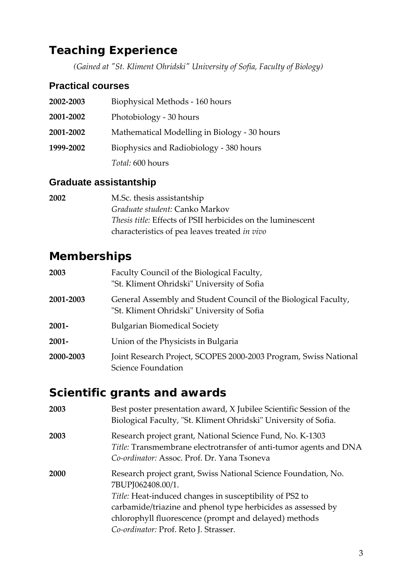## **Teaching Experience**

*(Gained at ʺSt. Kliment Ohridskiʺ University of Sofia, Faculty of Biology)*

### **Practical courses**

| 2002-2003 | Biophysical Methods - 160 hours              |  |
|-----------|----------------------------------------------|--|
| 2001-2002 | Photobiology - 30 hours                      |  |
| 2001-2002 | Mathematical Modelling in Biology - 30 hours |  |
| 1999-2002 | Biophysics and Radiobiology - 380 hours      |  |
|           | <i>Total:</i> 600 hours                      |  |

### **Graduate assistantship**

| 2002 | M.Sc. thesis assistantship                                         |
|------|--------------------------------------------------------------------|
|      | Graduate student: Canko Markov                                     |
|      | <i>Thesis title:</i> Effects of PSII herbicides on the luminescent |
|      | characteristics of pea leaves treated in vivo                      |

## **Memberships**

| 2003      | Faculty Council of the Biological Faculty,<br>"St. Kliment Ohridski" University of Sofia                      |  |
|-----------|---------------------------------------------------------------------------------------------------------------|--|
| 2001-2003 | General Assembly and Student Council of the Biological Faculty,<br>"St. Kliment Ohridski" University of Sofia |  |
| $2001 -$  | <b>Bulgarian Biomedical Society</b>                                                                           |  |
| $2001 -$  | Union of the Physicists in Bulgaria                                                                           |  |
| 2000-2003 | Joint Research Project, SCOPES 2000-2003 Program, Swiss National<br>Science Foundation                        |  |

## **Scientific grants and awards**

| 2003 | Best poster presentation award, X Jubilee Scientific Session of the<br>Biological Faculty, "St. Kliment Ohridski" University of Sofia.                                                                                                                                  |
|------|-------------------------------------------------------------------------------------------------------------------------------------------------------------------------------------------------------------------------------------------------------------------------|
| 2003 | Research project grant, National Science Fund, No. K-1303<br>Title: Transmembrane electrotransfer of anti-tumor agents and DNA<br>Co-ordinator: Assoc. Prof. Dr. Yana Tsoneva                                                                                           |
| 2000 | Research project grant, Swiss National Science Foundation, No.<br>7BUPJ062408.00/1.<br>Title: Heat-induced changes in susceptibility of PS2 to<br>carbamide/triazine and phenol type herbicides as assessed by<br>chlorophyll fluorescence (prompt and delayed) methods |
|      | Co-ordinator: Prof. Reto J. Strasser.                                                                                                                                                                                                                                   |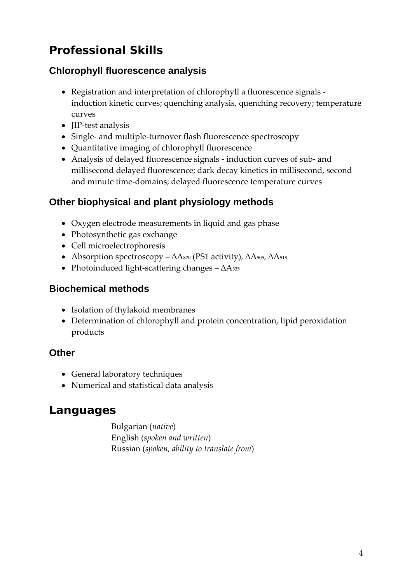# **Professional Skills**

### **Chlorophyll fluorescence analysis**

- Registration and interpretation of chlorophyll a fluorescence signals ‐ induction kinetic curves; quenching analysis, quenching recovery; temperature curves
- **IIP-test analysis**
- Single- and multiple-turnover flash fluorescence spectroscopy
- Quantitative imaging of chlorophyll fluorescence
- Analysis of delayed fluorescence signals ‐ induction curves of sub‐ and millisecond delayed fluorescence; dark decay kinetics in millisecond, second and minute time‐domains; delayed fluorescence temperature curves

### **Other biophysical and plant physiology methods**

- Oxygen electrode measurements in liquid and gas phase
- Photosynthetic gas exchange
- Cell microelectrophoresis
- Absorption spectroscopy  $\Delta A_{820}$  (PS1 activity),  $\Delta A_{505}$ ,  $\Delta A_{518}$
- Photoinduced light‐scattering changes ∆A535

### **Biochemical methods**

- Isolation of thylakoid membranes
- Determination of chlorophyll and protein concentration, lipid peroxidation products

### **Other**

- General laboratory techniques
- Numerical and statistical data analysis

## **Languages**

Bulgarian (*native*) English (*spoken and written*) Russian (*spoken, ability to translate from*)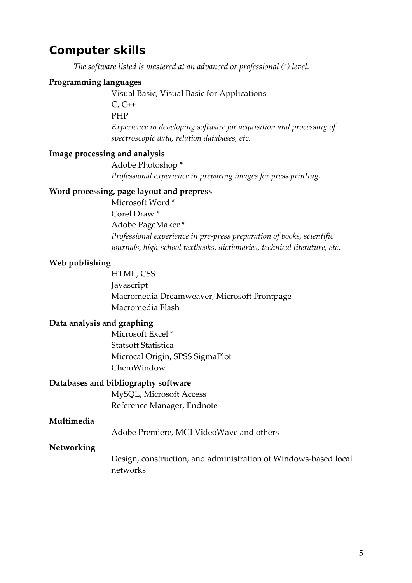### **Computer skills**

*The software listed is mastered at an advanced or professional (\*) level.*

#### **Programming languages**

Visual Basic, Visual Basic for Applications

C, C++ PHP *Experience in developing software for acquisition and processing of spectroscopic data, relation databases, etc.*

#### **Image processing and analysis**

Adobe Photoshop \* *Professional experience in preparing images for press printing.*

#### **Word processing, page layout and prepress**

Microsoft Word \* Corel Draw \* Adobe PageMaker \* *Professional experience in pre‐press preparation of books, scientific journals, high‐school textbooks, dictionaries, technical literature, etc.*

#### **Web publishing**

HTML, CSS Javascript Macromedia Dreamweaver, Microsoft Frontpage Macromedia Flash

#### **Data analysis and graphing**

Microsoft Excel \* Statsoft Statistica Microcal Origin, SPSS SigmaPlot ChemWindow

#### **Databases and bibliography software**

MySQL, Microsoft Access Reference Manager, Endnote

#### **Multimedia**

Adobe Premiere, MGI VideoWave and others

#### **Networking**

Design, construction, and administration of Windows‐based local networks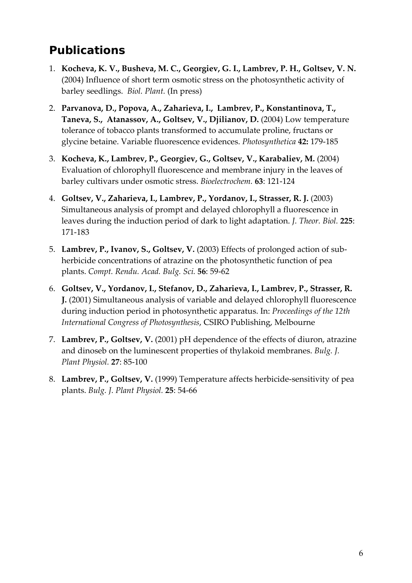# **Publications**

- 1. **Kocheva, K. V., Busheva, M. C., Georgiev, G. I., Lambrev, P. H., Goltsev, V. N.** (2004) Influence of short term osmotic stress on the photosynthetic activity of barley seedlings. *Biol. Plant.* (In press)
- 2. **Parvanova, D., Popova, A., Zaharieva, I., Lambrev, P., Konstantinova, T., Taneva, S., Atanassov, A., Goltsev, V., Djilianov, D.** (2004) Low temperature tolerance of tobacco plants transformed to accumulate proline, fructans or glycine betaine. Variable fluorescence evidences. *Photosynthetica* **42:** 179‐185
- 3. **Kocheva, K., Lambrev, P., Georgiev, G., Goltsev, V., Karabaliev, M.** (2004) Evaluation of chlorophyll fluorescence and membrane injury in the leaves of barley cultivars under osmotic stress. *Bioelectrochem.* **63**: 121‐124
- 4. **Goltsev, V., Zaharieva, I., Lambrev, P., Yordanov, I., Strasser, R. J.** (2003) Simultaneous analysis of prompt and delayed chlorophyll a fluorescence in leaves during the induction period of dark to light adaptation. *J. Theor. Biol.* **225**: 171‐183
- 5. **Lambrev, P., Ivanov, S., Goltsev, V.** (2003) Effects of prolonged action of sub‐ herbicide concentrations of atrazine on the photosynthetic function of pea plants. *Compt. Rendu. Acad. Bulg. Sci.* **56**: 59‐62
- 6. **Goltsev, V., Yordanov, I., Stefanov, D., Zaharieva, I., Lambrev, P., Strasser, R. J.** (2001) Simultaneous analysis of variable and delayed chlorophyll fluorescence during induction period in photosynthetic apparatus. In: *Proceedings of the 12th International Congress of Photosynthesis*, CSIRO Publishing, Melbourne
- 7. **Lambrev, P., Goltsev, V.** (2001) pH dependence of the effects of diuron, atrazine and dinoseb on the luminescent properties of thylakoid membranes. *Bulg. J. Plant Physiol.* **27**: 85‐100
- 8. **Lambrev, P., Goltsev, V.** (1999) Temperature affects herbicide‐sensitivity of pea plants. *Bulg. J. Plant Physiol.* **25**: 54‐66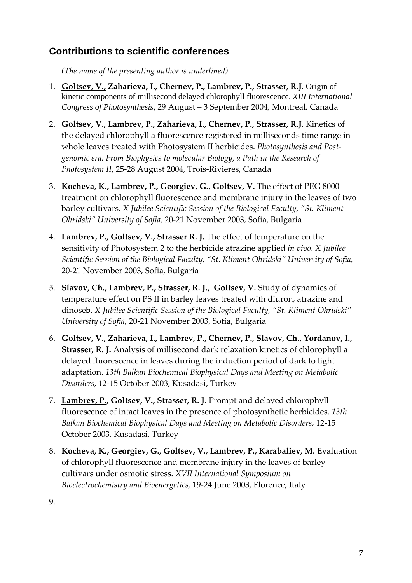### **Contributions to scientific conferences**

*(The name of the presenting author is underlined)*

- 1. **Goltsev, V., Zaharieva, I., Chernev, P., Lambrev, P., Strasser, R.J**. Origin of kinetic components of millisecond delayed chlorophyll fluorescence. *XIII International Congress of Photosynthesis*, 29 August – 3 September 2004, Montreal, Canada
- 2. **Goltsev, V., Lambrev, P., Zaharieva, I., Chernev, P., Strasser, R.J**. Kinetics of the delayed chlorophyll a fluorescence registered in milliseconds time range in whole leaves treated with Photosystem II herbicides. *Photosynthesis and Post‐ genomic era: From Biophysics to molecular Biology, a Path in the Research of Photosystem II*, 25‐28 August 2004, Trois‐Rivieres, Canada
- 3. **Kocheva, K., Lambrev, P., Georgiev, G., Goltsev, V.** The effect of PEG 8000 treatment on chlorophyll fluorescence and membrane injury in the leaves of two barley cultivars. *X Jubilee Scientific Session of the Biological Faculty, "St. Kliment Ohridski" University of Sofia,* 20‐21 November 2003, Sofia, Bulgaria
- 4. **Lambrev, P., Goltsev, V., Strasser R. J.** The effect of temperature on the sensitivity of Photosystem 2 to the herbicide atrazine applied *in vivo*. *X Jubilee Scientific Session of the Biological Faculty, "St. Kliment Ohridski" University of Sofia,* 20‐21 November 2003, Sofia, Bulgaria
- 5. **Slavov, Ch., Lambrev, P., Strasser, R. J., Goltsev, V.** Study of dynamics of temperature effect on PS II in barley leaves treated with diuron, atrazine and dinoseb. *X Jubilee Scientific Session of the Biological Faculty, "St. Kliment Ohridski" University of Sofia,* 20‐21 November 2003, Sofia, Bulgaria
- 6. **Goltsev, V., Zaharieva, I., Lambrev, P., Chernev, P., Slavov, Ch., Yordanov, I., Strasser, R. J.** Analysis of millisecond dark relaxation kinetics of chlorophyll a delayed fluorescence in leaves during the induction period of dark to light adaptation. *13th Balkan Biochemical Biophysical Days and Meeting on Metabolic Disorders*, 12‐15 October 2003, Kusadasi, Turkey
- 7. **Lambrev, P., Goltsev, V., Strasser, R. J.** Prompt and delayed chlorophyll fluorescence of intact leaves in the presence of photosynthetic herbicides. *13th Balkan Biochemical Biophysical Days and Meeting on Metabolic Disorders*, 12‐15 October 2003, Kusadasi, Turkey
- 8. **Kocheva, K., Georgiev, G., Goltsev, V., Lambrev, P., Karabaliev, M.** Evaluation of chlorophyll fluorescence and membrane injury in the leaves of barley cultivars under osmotic stress. *XVII International Symposium on Bioelectrochemistry and Bioenergetics,* 19‐24 June 2003, Florence, Italy

9.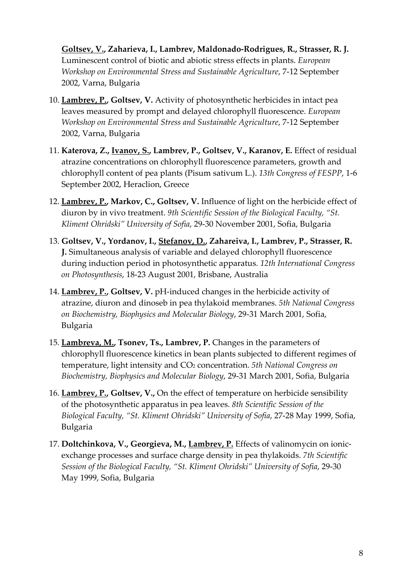**Goltsev, V., Zaharieva, I., Lambrev, Maldonado‐Rodrigues, R., Strasser, R. J.** Luminescent control of biotic and abiotic stress effects in plants. *European Workshop on Environmental Stress and Sustainable Agriculture*, 7‐12 September 2002, Varna, Bulgaria

- 10. **Lambrev, P., Goltsev, V.** Activity of photosynthetic herbicides in intact pea leaves measured by prompt and delayed chlorophyll fluorescence. *European Workshop on Environmental Stress and Sustainable Agriculture*, 7‐12 September 2002, Varna, Bulgaria
- 11. **Katerova, Z., Ivanov, S., Lambrev, P., Goltsev, V., Karanov, E.** Effect of residual atrazine concentrations on chlorophyll fluorescence parameters, growth and chlorophyll content of pea plants (Pisum sativum L.). *13th Congress of FESPP*, 1‐6 September 2002, Heraclion, Greece
- 12. **Lambrev, P., Markov, C., Goltsev, V.** Influence of light on the herbicide effect of diuron by in vivo treatment. *9th Scientific Session of the Biological Faculty, "St. Kliment Ohridski" University of Sofia*, 29‐30 November 2001, Sofia, Bulgaria
- 13. **Goltsev, V., Yordanov, I., Stefanov, D., Zahareiva, I., Lambrev, P., Strasser, R. J.** Simultaneous analysis of variable and delayed chlorophyll fluorescence during induction period in photosynthetic apparatus. *12th International Congress on Photosynthesis*, 18‐23 August 2001, Brisbane, Australia
- 14. **Lambrev, P., Goltsev, V.** pH‐induced changes in the herbicide activity of atrazine, diuron and dinoseb in pea thylakoid membranes. *5th National Congress on Biochemistry, Biophysics and Molecular Biology*, 29‐31 March 2001, Sofia, Bulgaria
- 15. **Lambreva, M., Tsonev, Ts., Lambrev, P.** Changes in the parameters of chlorophyll fluorescence kinetics in bean plants subjected to different regimes of temperature, light intensity and CO2 concentration. *5th National Congress on Biochemistry, Biophysics and Molecular Biology*, 29‐31 March 2001, Sofia, Bulgaria
- 16. **Lambrev, P., Goltsev, V.,** On the effect of temperature on herbicide sensibility of the photosynthetic apparatus in pea leaves. *8th Scientific Session of the Biological Faculty, "St. Kliment Ohridski" University of Sofia*, 27‐28 May 1999, Sofia, Bulgaria
- 17. **Doltchinkova, V., Georgieva, M., Lambrev, P.** Effects of valinomycin on ionic‐ exchange processes and surface charge density in pea thylakoids. *7th Scientific Session of the Biological Faculty, "St. Kliment Ohridski" University of Sofia*, 29‐30 May 1999, Sofia, Bulgaria